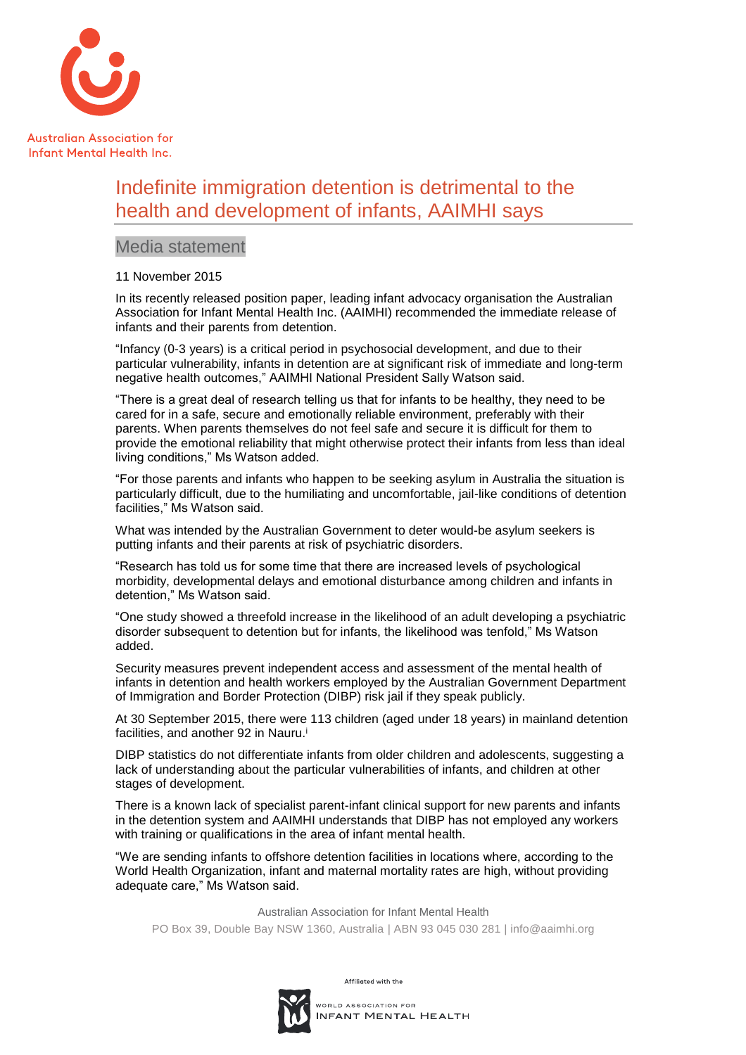

## Indefinite immigration detention is detrimental to the health and development of infants, AAIMHI says

## Media statement

## 11 November 2015

In its recently released position paper, leading infant advocacy organisation the Australian Association for Infant Mental Health Inc. (AAIMHI) recommended the immediate release of infants and their parents from detention.

"Infancy (0-3 years) is a critical period in psychosocial development, and due to their particular vulnerability, infants in detention are at significant risk of immediate and long-term negative health outcomes," AAIMHI National President Sally Watson said.

"There is a great deal of research telling us that for infants to be healthy, they need to be cared for in a safe, secure and emotionally reliable environment, preferably with their parents. When parents themselves do not feel safe and secure it is difficult for them to provide the emotional reliability that might otherwise protect their infants from less than ideal living conditions," Ms Watson added.

"For those parents and infants who happen to be seeking asylum in Australia the situation is particularly difficult, due to the humiliating and uncomfortable, jail-like conditions of detention facilities," Ms Watson said.

What was intended by the Australian Government to deter would-be asylum seekers is putting infants and their parents at risk of psychiatric disorders.

"Research has told us for some time that there are increased levels of psychological morbidity, developmental delays and emotional disturbance among children and infants in detention," Ms Watson said.

"One study showed a threefold increase in the likelihood of an adult developing a psychiatric disorder subsequent to detention but for infants, the likelihood was tenfold," Ms Watson added.

Security measures prevent independent access and assessment of the mental health of infants in detention and health workers employed by the Australian Government Department of Immigration and Border Protection (DIBP) risk jail if they speak publicly.

At 30 September 2015, there were 113 children (aged under 18 years) in mainland detention facilities, and another 92 in Nauru.<sup>i</sup>

DIBP statistics do not differentiate infants from older children and adolescents, suggesting a lack of understanding about the particular vulnerabilities of infants, and children at other stages of development.

There is a known lack of specialist parent-infant clinical support for new parents and infants in the detention system and AAIMHI understands that DIBP has not employed any workers with training or qualifications in the area of infant mental health.

"We are sending infants to offshore detention facilities in locations where, according to the World Health Organization, infant and maternal mortality rates are high, without providing adequate care," Ms Watson said.

Australian Association for Infant Mental Health PO Box 39, Double Bay NSW 1360, Australia | ABN 93 045 030 281 | info@aaimhi.org

> Affiliated with the ORLD ASSOCIATION FOR INFANT MENTAL HEALTH